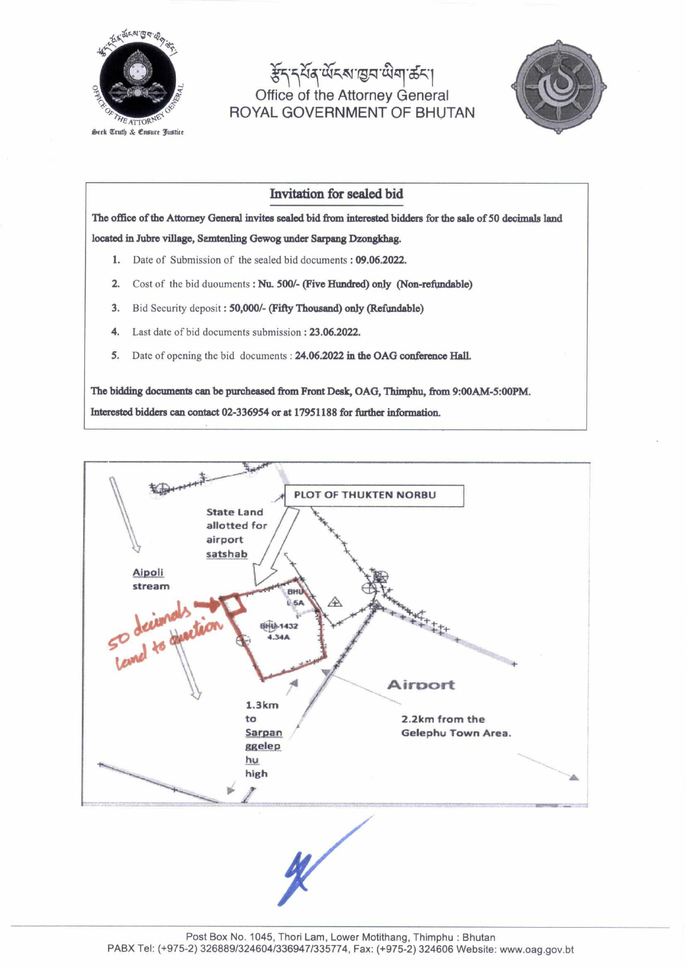

Seek Truth & Ensure Justice

हेन् न्यं विद्यालय के बार Office of the Attorney General ROYAL GOVERNMENT OF BHUTAN



### **Invitation for sealed bid**

**The office of the Attorney General invites sealed bid from interested bidders for the sale of 50 decimals land** 

**located in Jubre village, Szmtenling Gewog under Sarpang Dzongkhag.** 

- 1. Date of Submission of the sealed bid documents : **09.06.2022.**
- 2. Cost of the bid duouments : **Nu. 500/- (Five Hundred) only (Non-refundable)**
- 3. Bid Security deposit : **50,000/- (Fifty Thousand) only (Refundable)**
- 4. Last date of bid documents submission : **23.06.2022.**
- 5. Date of opening the bid documents : **24.06.2022 in the OAG conference Hall.**

**The bidding documents can be purcheased from Front Desk, OAG, Thimphu, from 9:OOAM-5:OOPM.** 

**Interested bidders can contact 02-336954 or at 17951188 for further information.** 

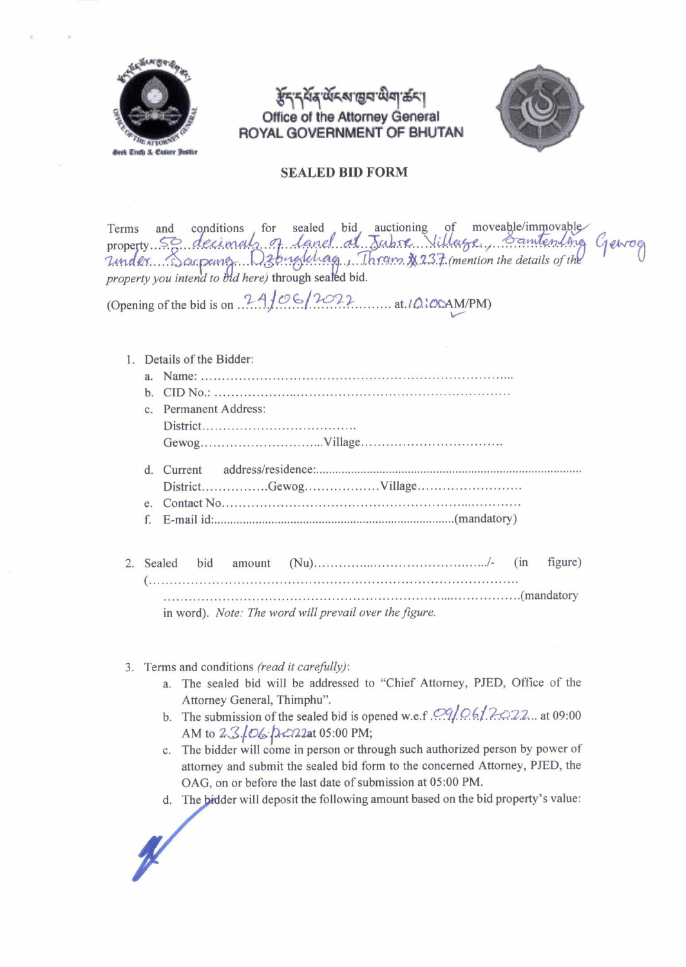

## रूटर पूर्व कर बारी का कुछ कर Office of the Attorney General ROYAL GOVERNMENT OF BHUTAN



. . . . . . . . . . .

#### **SEALED BID FORM**

Terms and conditions for sealed bid auctioning of moveable/immovable<br>property. S.C. deciments of land at Julieuse. Samten line Gerrog<br>under Scurpung Dzbugleliag., Threm \$237. (mention the details of the property you intend to bid here) through sealed bid.

(Opening of the bid is on  $.24/06/2022$  at  $.10.2004M/PM$ )

#### 1. Details of the Bidder:

|  | c. Permanent Address: |  |
|--|-----------------------|--|
|  |                       |  |
|  |                       |  |
|  |                       |  |

- 
- 
- figure) 2. Sealed  $(in$ bid in word). Note: The word will prevail over the figure.
- 3. Terms and conditions (read it carefully):
	- a. The sealed bid will be addressed to "Chief Attorney, PJED, Office of the Attorney General, Thimphu".
	- b. The submission of the sealed bid is opened w.e.f.  $\mathcal{O}(\sqrt{0672022})$ . at 09:00 AM to 2.3. 06: 0.222at 05:00 PM;
	- c. The bidder will come in person or through such authorized person by power of attorney and submit the sealed bid form to the concerned Attorney, PJED, the OAG, on or before the last date of submission at 05:00 PM.
	- d. The bidder will deposit the following amount based on the bid property's value: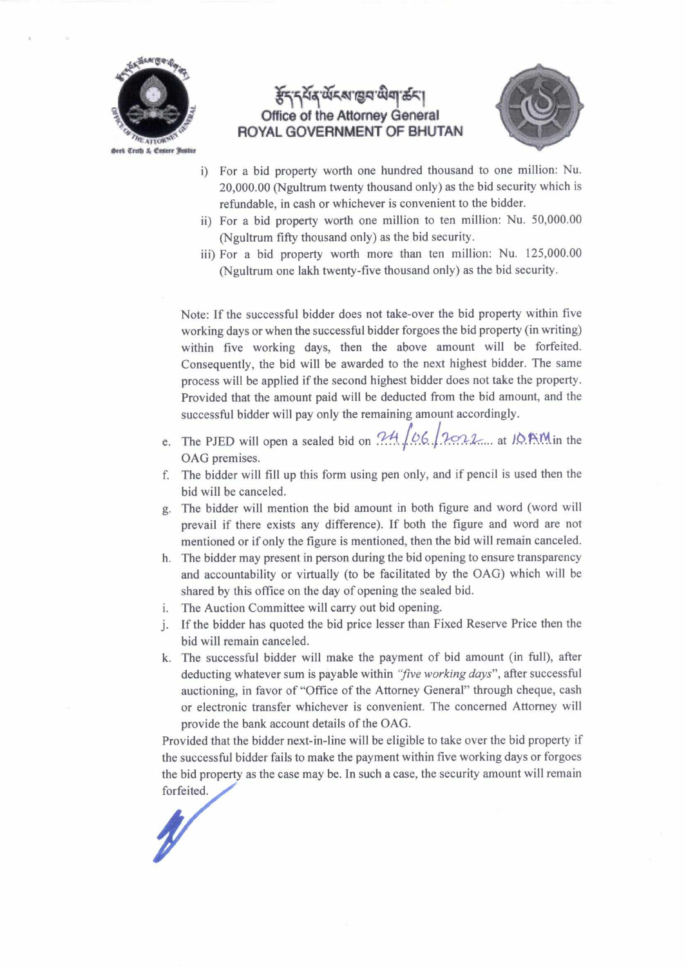

## **हेन् न्यू प्रारं प्रारं का कुछ कुछ कुछ के साथ Office of the Attorney General ROYAL GOVERNMENT OF BHUTAN**



- i) For a bid property worth one hundred thousand to one million: Nu. 20,000.00 (Ngultrum twenty thousand only) as the bid security which is refundable, in cash or whichever is convenient to the bidder.
- ii) For a bid property worth one million to ten million: Nu. 50,000.00 (Ngultrum fifty thousand only) as the bid security.
- iii) For a bid property worth more than ten million: Nu. 125,000.00 (Ngultrum one lakh twenty-five thousand only) as the bid security.

Note: If the successful bidder does not take-over the bid property within five working days or when the successful bidder forgoes the bid property (in writing) within five working days, then the above amount will be forfeited. Consequently, the bid will be awarded to the next highest bidder. The same process will be applied if the second highest bidder does not take the property. Provided that the amount paid will be deducted from the bid amount, and the successful bidder will pay only the remaining amount accordingly.

- e. The PJED will open a sealed bid on  $24/66$   $/2022$  at  $10.18$ .M.in the OAG premises.
- f. The bidder will fill up this form using pen only, and if pencil is used then the bid will be canceled.
- g. The bidder will mention the bid amount in both figure and word (word will prevail if there exists any difference). If both the figure and word are not mentioned or if only the figure is mentioned, then the bid will remain canceled.
- h. The bidder may present in person during the bid opening to ensure transparency and accountability or virtually (to be facilitated by the OAG) which will be shared by this office on the day of opening the sealed bid.
- i. The Auction Committee will carry out bid opening.
- j. If the bidder has quoted the bid price lesser than Fixed Reserve Price then the bid will remain canceled.
- k. The successful bidder will make the payment of bid amount (in full), after deducting whatever sum is payable within *'five working days",* after successful auctioning, in favor of "Office of the Attorney General" through cheque, cash or electronic transfer whichever is convenient. The concerned Attorney will provide the bank account details of the OAG.

Provided that the bidder next-in-line will be eligible to take over the bid property if the successful bidder fails to make the payment within five working days or forgoes the bid property as the case may be. In such a case, the security amount will remain forfeited.